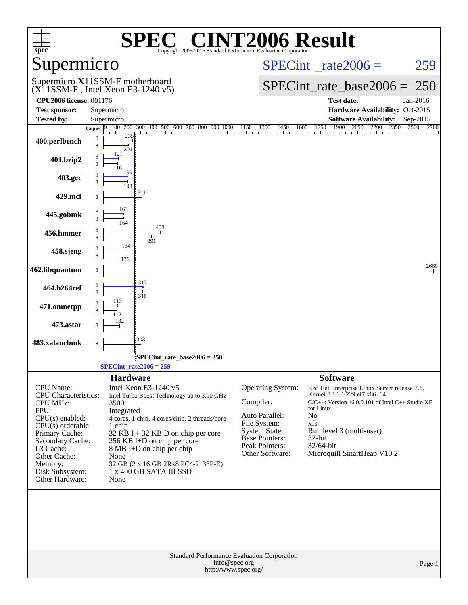| $spec^*$                           | $\mathbf{P}(\mathbb{R})$<br>SPE<br>Copyright 2006-2016 Standard Performance Evaluation Corporation | <b>INT2006 Result</b>                                                                                                                                                                                                                                                                |
|------------------------------------|----------------------------------------------------------------------------------------------------|--------------------------------------------------------------------------------------------------------------------------------------------------------------------------------------------------------------------------------------------------------------------------------------|
| Supermicro                         |                                                                                                    | $SPECint^{\circ}$ rate $2006 =$<br>259                                                                                                                                                                                                                                               |
|                                    | Supermicro X11SSM-F motherboard<br>$(X11SSM-F$ , Intel Xeon E3-1240 v5)                            | $SPECint_rate\_base2006 =$<br>250                                                                                                                                                                                                                                                    |
| <b>CPU2006 license: 001176</b>     |                                                                                                    | <b>Test date:</b><br>Jan-2016                                                                                                                                                                                                                                                        |
| <b>Test sponsor:</b>               | Supermicro                                                                                         | Hardware Availability: Oct-2015                                                                                                                                                                                                                                                      |
| <b>Tested by:</b>                  | Supermicro                                                                                         | <b>Software Availability:</b><br>Sep-2015                                                                                                                                                                                                                                            |
|                                    | Copies $ 0 $                                                                                       | 1900<br>$\begin{bmatrix} 100 & 200 & 300 & 400 & 500 & 600 & 700 & 800 & 900 & 1000 & 1150 & 1300 & 1450 & 1600 & 1750 & 1900 & 2050 & 2200 & 2350 & 2500 & 2700 & 2000 & 2000 & 2000 & 2000 & 2000 & 2000 & 2000 & 2000 & 2000 & 2000 & 2000 & 2000 & 2000 & 2000 & 2000 & 2000 & $ |
| 400.perlbench                      | 8<br>8<br>201                                                                                      |                                                                                                                                                                                                                                                                                      |
| 401.bzip2                          | 121                                                                                                |                                                                                                                                                                                                                                                                                      |
| 403.gcc                            | 199<br>198                                                                                         |                                                                                                                                                                                                                                                                                      |
| 429.mcf                            | 311<br>8                                                                                           |                                                                                                                                                                                                                                                                                      |
| 445.gobmk                          | 163                                                                                                |                                                                                                                                                                                                                                                                                      |
| 456.hmmer                          | 458<br>391                                                                                         |                                                                                                                                                                                                                                                                                      |
| 458.sjeng                          | 184                                                                                                |                                                                                                                                                                                                                                                                                      |
| 462.libquantum                     | 8                                                                                                  | 2660                                                                                                                                                                                                                                                                                 |
| 464.h264ref                        | 317<br>316                                                                                         |                                                                                                                                                                                                                                                                                      |
| 471.omnetpp                        | 115                                                                                                |                                                                                                                                                                                                                                                                                      |
| 473.astar                          | 132                                                                                                |                                                                                                                                                                                                                                                                                      |
| 483.xalancbmk                      | 303<br>8                                                                                           |                                                                                                                                                                                                                                                                                      |
|                                    | $SPECint_rate_base2006 = 250$                                                                      |                                                                                                                                                                                                                                                                                      |
|                                    | $SPECint_rate2006 = 259$                                                                           |                                                                                                                                                                                                                                                                                      |
|                                    | <b>Hardware</b>                                                                                    |                                                                                                                                                                                                                                                                                      |
| CPU Name:<br>CPU Characteristics:  | Intel Xeon E3-1240 v5<br>Intel Turbo Boost Technology up to 3.90 GHz                               | <b>Software</b><br><b>Operating System:</b><br>Red Hat Enterprise Linux Server release 7.1,<br>Kernel 3.10.0-229.el7.x86_64                                                                                                                                                          |
| <b>CPU MHz:</b><br>FPU:            | 3500<br>Integrated                                                                                 | Compiler:<br>$C/C++$ : Version 16.0.0.101 of Intel $C++$ Studio XE<br>for Linux                                                                                                                                                                                                      |
| $CPU(s)$ enabled:                  | 4 cores, 1 chip, 4 cores/chip, 2 threads/core                                                      | Auto Parallel:<br>No                                                                                                                                                                                                                                                                 |
| $CPU(s)$ orderable:                | 1 chip                                                                                             | File System:<br>xfs<br><b>System State:</b><br>Run level 3 (multi-user)                                                                                                                                                                                                              |
| Primary Cache:<br>Secondary Cache: | $32$ KB I + 32 KB D on chip per core<br>256 KB I+D on chip per core                                | <b>Base Pointers:</b><br>32-bit                                                                                                                                                                                                                                                      |
| L3 Cache:                          | 8 MB I+D on chip per chip                                                                          | Peak Pointers:<br>32/64-bit                                                                                                                                                                                                                                                          |
| Other Cache:                       | None                                                                                               | Other Software:<br>Microquill SmartHeap V10.2                                                                                                                                                                                                                                        |
| Memory:<br>Disk Subsystem:         | 32 GB (2 x 16 GB 2Rx8 PC4-2133P-E)<br>1 x 400 GB SATA III SSD                                      |                                                                                                                                                                                                                                                                                      |
| Other Hardware:                    | None                                                                                               |                                                                                                                                                                                                                                                                                      |
|                                    |                                                                                                    |                                                                                                                                                                                                                                                                                      |
|                                    | Standard Performance Evaluation Corporation<br>info@spec.org<br>http://www.spec.org/               | Page 1                                                                                                                                                                                                                                                                               |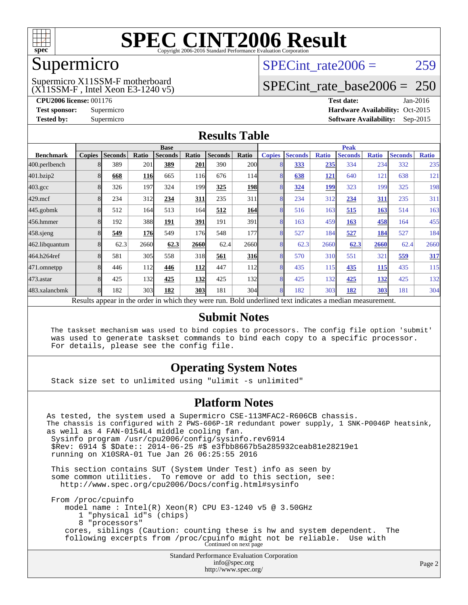

### Supermicro

### (X11SSM-F , Intel Xeon E3-1240 v5) Supermicro X11SSM-F motherboard

SPECint rate $2006 = 259$ 

### [SPECint\\_rate\\_base2006 =](http://www.spec.org/auto/cpu2006/Docs/result-fields.html#SPECintratebase2006) 250

**[CPU2006 license:](http://www.spec.org/auto/cpu2006/Docs/result-fields.html#CPU2006license)** 001176 **[Test date:](http://www.spec.org/auto/cpu2006/Docs/result-fields.html#Testdate)** Jan-2016 **[Test sponsor:](http://www.spec.org/auto/cpu2006/Docs/result-fields.html#Testsponsor)** Supermicro Supermicro **[Hardware Availability:](http://www.spec.org/auto/cpu2006/Docs/result-fields.html#HardwareAvailability)** Oct-2015 **[Tested by:](http://www.spec.org/auto/cpu2006/Docs/result-fields.html#Testedby)** Supermicro **Supermicro [Software Availability:](http://www.spec.org/auto/cpu2006/Docs/result-fields.html#SoftwareAvailability)** Sep-2015

### **[Results Table](http://www.spec.org/auto/cpu2006/Docs/result-fields.html#ResultsTable)**

|                    | <b>Base</b>   |                |            |                                                                                                        |       | <b>Peak</b>    |            |               |                |              |                |              |                |              |
|--------------------|---------------|----------------|------------|--------------------------------------------------------------------------------------------------------|-------|----------------|------------|---------------|----------------|--------------|----------------|--------------|----------------|--------------|
| <b>Benchmark</b>   | <b>Copies</b> | <b>Seconds</b> | Ratio      | <b>Seconds</b>                                                                                         | Ratio | <b>Seconds</b> | Ratio      | <b>Copies</b> | <b>Seconds</b> | <b>Ratio</b> | <b>Seconds</b> | <b>Ratio</b> | <b>Seconds</b> | <b>Ratio</b> |
| 400.perlbench      |               | 389            | 201        | 389                                                                                                    | 201   | 390            | <b>200</b> |               | 333            | 235          | 334            | 234          | 332            | 235          |
| 401.bzip2          |               | 668            | <b>116</b> | 665                                                                                                    | 116   | 676            | 114        |               | 638            | 121          | 640            | 121          | 638            | 121          |
| $403.\mathrm{gcc}$ |               | 326            | 197        | 324                                                                                                    | 199   | 325            | 198        |               | 324            | 199          | 323            | 199          | 325            | 198          |
| $429$ .mcf         |               | 234            | 312        | 234                                                                                                    | 311   | 235            | 311        |               | 234            | 312          | 234            | 311          | 235            | 311          |
| $445$ .gobmk       |               | 512            | 164        | 513                                                                                                    | 164I  | 512            | 164        |               | 516            | 163          | 515            | 163          | 514            | 163          |
| 456.hmmer          |               | 192            | 388        | 191                                                                                                    | 391   | 191            | 391        |               | 163            | 459          | 163            | 458          | 164            | 455          |
| $458$ .sjeng       |               | 549            | 176        | 549                                                                                                    | 176   | 548            | 177        |               | 527            | 184          | 527            | 184          | 527            | 184          |
| 462.libquantum     |               | 62.3           | 2660       | 62.3                                                                                                   | 2660  | 62.4           | 2660       |               | 62.3           | 2660         | 62.3           | 2660         | 62.4           | 2660         |
| 464.h264ref        |               | 581            | 305        | 558                                                                                                    | 318   | 561            | 316        |               | 570            | 310          | 551            | 321          | 559            | 317          |
| 471.omnetpp        |               | 446            | 112        | 446                                                                                                    | 112   | 447            | 112        |               | 435            | 115          | 435            | 115          | 435            | 115          |
| $473$ . astar      |               | 425            | 132        | 425                                                                                                    | 132   | 425            | 132        |               | 425            | 132          | 425            | 132          | 425            | 132          |
| 483.xalancbmk      |               | 182            | 303        | 182                                                                                                    | 303   | 181            | 304        |               | 182            | 303          | 182            | 303          | 181            | 304          |
|                    |               |                |            | Decute enneau in the order in which thay were mu. Dold underlined text indicates a modian magazurement |       |                |            |               |                |              |                |              |                |              |

Results appear in the [order in which they were run.](http://www.spec.org/auto/cpu2006/Docs/result-fields.html#RunOrder) Bold underlined text [indicates a median measurement.](http://www.spec.org/auto/cpu2006/Docs/result-fields.html#Median)

### **[Submit Notes](http://www.spec.org/auto/cpu2006/Docs/result-fields.html#SubmitNotes)**

 The taskset mechanism was used to bind copies to processors. The config file option 'submit' was used to generate taskset commands to bind each copy to a specific processor. For details, please see the config file.

### **[Operating System Notes](http://www.spec.org/auto/cpu2006/Docs/result-fields.html#OperatingSystemNotes)**

Stack size set to unlimited using "ulimit -s unlimited"

### **[Platform Notes](http://www.spec.org/auto/cpu2006/Docs/result-fields.html#PlatformNotes)**

Standard Performance Evaluation Corporation [info@spec.org](mailto:info@spec.org) As tested, the system used a Supermicro CSE-113MFAC2-R606CB chassis. The chassis is configured with 2 PWS-606P-1R redundant power supply, 1 SNK-P0046P heatsink, as well as 4 FAN-0154L4 middle cooling fan. Sysinfo program /usr/cpu2006/config/sysinfo.rev6914 \$Rev: 6914 \$ \$Date:: 2014-06-25 #\$ e3fbb8667b5a285932ceab81e28219e1 running on X10SRA-01 Tue Jan 26 06:25:55 2016 This section contains SUT (System Under Test) info as seen by some common utilities. To remove or add to this section, see: <http://www.spec.org/cpu2006/Docs/config.html#sysinfo> From /proc/cpuinfo model name : Intel(R) Xeon(R) CPU E3-1240 v5 @ 3.50GHz 1 "physical id"s (chips) 8 "processors" cores, siblings (Caution: counting these is hw and system dependent. The following excerpts from /proc/cpuinfo might not be reliable. Use with Continued on next page

<http://www.spec.org/>

Page 2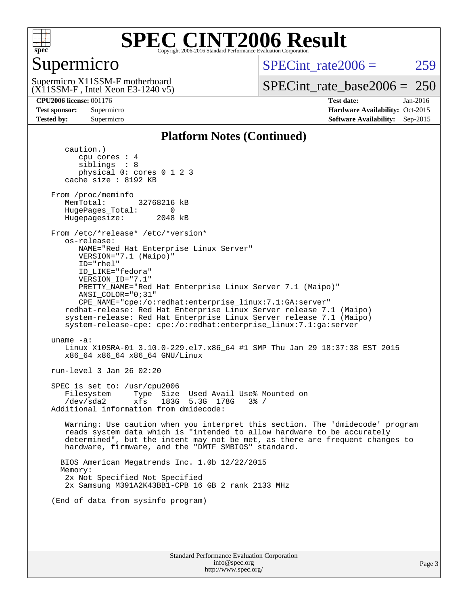

### Supermicro

 $SPECint rate2006 = 259$ 

(X11SSM-F , Intel Xeon E3-1240 v5) Supermicro X11SSM-F motherboard

[SPECint\\_rate\\_base2006 =](http://www.spec.org/auto/cpu2006/Docs/result-fields.html#SPECintratebase2006) 250

**[CPU2006 license:](http://www.spec.org/auto/cpu2006/Docs/result-fields.html#CPU2006license)** 001176 **[Test date:](http://www.spec.org/auto/cpu2006/Docs/result-fields.html#Testdate)** Jan-2016 **[Test sponsor:](http://www.spec.org/auto/cpu2006/Docs/result-fields.html#Testsponsor)** Supermicro Supermicro **[Hardware Availability:](http://www.spec.org/auto/cpu2006/Docs/result-fields.html#HardwareAvailability)** Oct-2015 **[Tested by:](http://www.spec.org/auto/cpu2006/Docs/result-fields.html#Testedby)** Supermicro **Supermicro [Software Availability:](http://www.spec.org/auto/cpu2006/Docs/result-fields.html#SoftwareAvailability)** Sep-2015

### **[Platform Notes \(Continued\)](http://www.spec.org/auto/cpu2006/Docs/result-fields.html#PlatformNotes)**

 caution.) cpu cores : 4 siblings : 8 physical 0: cores 0 1 2 3 cache size : 8192 KB From /proc/meminfo MemTotal: 32768216 kB HugePages\_Total: 0<br>Hugepagesize: 2048 kB Hugepagesize: From /etc/\*release\* /etc/\*version\* os-release: NAME="Red Hat Enterprise Linux Server" VERSION="7.1 (Maipo)" ID="rhel" ID\_LIKE="fedora" VERSION\_ID="7.1" PRETTY\_NAME="Red Hat Enterprise Linux Server 7.1 (Maipo)" ANSI\_COLOR="0;31" CPE\_NAME="cpe:/o:redhat:enterprise\_linux:7.1:GA:server" redhat-release: Red Hat Enterprise Linux Server release 7.1 (Maipo) system-release: Red Hat Enterprise Linux Server release 7.1 (Maipo) system-release-cpe: cpe:/o:redhat:enterprise\_linux:7.1:ga:server uname -a: Linux X10SRA-01 3.10.0-229.el7.x86\_64 #1 SMP Thu Jan 29 18:37:38 EST 2015 x86\_64 x86\_64 x86\_64 GNU/Linux run-level 3 Jan 26 02:20 SPEC is set to: /usr/cpu2006 Filesystem Type Size Used Avail Use% Mounted on /dev/sda2 xfs 183G 5.3G 178G 3% / Additional information from dmidecode: Warning: Use caution when you interpret this section. The 'dmidecode' program reads system data which is "intended to allow hardware to be accurately determined", but the intent may not be met, as there are frequent changes to hardware, firmware, and the "DMTF SMBIOS" standard. BIOS American Megatrends Inc. 1.0b 12/22/2015 Memory: 2x Not Specified Not Specified 2x Samsung M391A2K43BB1-CPB 16 GB 2 rank 2133 MHz (End of data from sysinfo program)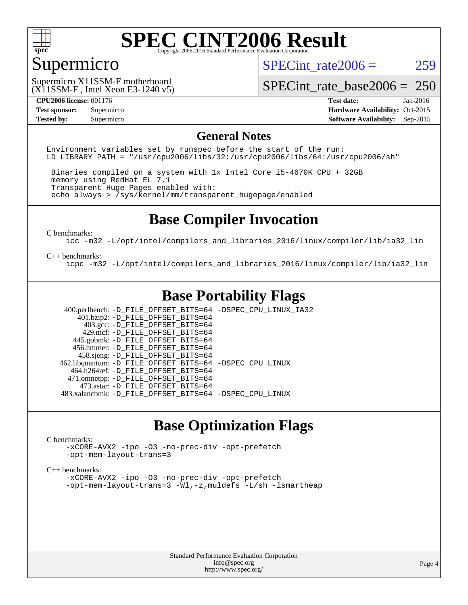

### Supermicro

SPECint rate $2006 = 259$ 

(X11SSM-F , Intel Xeon E3-1240 v5) Supermicro X11SSM-F motherboard

[SPECint\\_rate\\_base2006 =](http://www.spec.org/auto/cpu2006/Docs/result-fields.html#SPECintratebase2006) 250

**[Tested by:](http://www.spec.org/auto/cpu2006/Docs/result-fields.html#Testedby)** Supermicro **Supermicro [Software Availability:](http://www.spec.org/auto/cpu2006/Docs/result-fields.html#SoftwareAvailability)** Sep-2015

**[CPU2006 license:](http://www.spec.org/auto/cpu2006/Docs/result-fields.html#CPU2006license)** 001176 **[Test date:](http://www.spec.org/auto/cpu2006/Docs/result-fields.html#Testdate)** Jan-2016 **[Test sponsor:](http://www.spec.org/auto/cpu2006/Docs/result-fields.html#Testsponsor)** Supermicro Supermicro **[Hardware Availability:](http://www.spec.org/auto/cpu2006/Docs/result-fields.html#HardwareAvailability)** Oct-2015

### **[General Notes](http://www.spec.org/auto/cpu2006/Docs/result-fields.html#GeneralNotes)**

Environment variables set by runspec before the start of the run: LD LIBRARY PATH = "/usr/cpu2006/libs/32:/usr/cpu2006/libs/64:/usr/cpu2006/sh"

 Binaries compiled on a system with 1x Intel Core i5-4670K CPU + 32GB memory using RedHat EL 7.1 Transparent Huge Pages enabled with: echo always > /sys/kernel/mm/transparent\_hugepage/enabled

### **[Base Compiler Invocation](http://www.spec.org/auto/cpu2006/Docs/result-fields.html#BaseCompilerInvocation)**

[C benchmarks](http://www.spec.org/auto/cpu2006/Docs/result-fields.html#Cbenchmarks):

[icc -m32 -L/opt/intel/compilers\\_and\\_libraries\\_2016/linux/compiler/lib/ia32\\_lin](http://www.spec.org/cpu2006/results/res2016q1/cpu2006-20160206-39000.flags.html#user_CCbase_intel_icc_e10256ba5924b668798078a321b0cb3f)

#### [C++ benchmarks:](http://www.spec.org/auto/cpu2006/Docs/result-fields.html#CXXbenchmarks)

[icpc -m32 -L/opt/intel/compilers\\_and\\_libraries\\_2016/linux/compiler/lib/ia32\\_lin](http://www.spec.org/cpu2006/results/res2016q1/cpu2006-20160206-39000.flags.html#user_CXXbase_intel_icpc_b4f50a394bdb4597aa5879c16bc3f5c5)

### **[Base Portability Flags](http://www.spec.org/auto/cpu2006/Docs/result-fields.html#BasePortabilityFlags)**

 400.perlbench: [-D\\_FILE\\_OFFSET\\_BITS=64](http://www.spec.org/cpu2006/results/res2016q1/cpu2006-20160206-39000.flags.html#user_basePORTABILITY400_perlbench_file_offset_bits_64_438cf9856305ebd76870a2c6dc2689ab) [-DSPEC\\_CPU\\_LINUX\\_IA32](http://www.spec.org/cpu2006/results/res2016q1/cpu2006-20160206-39000.flags.html#b400.perlbench_baseCPORTABILITY_DSPEC_CPU_LINUX_IA32)  $401.bzip2: -D$ FILE\_OFFSET\_BITS=64 403.gcc: [-D\\_FILE\\_OFFSET\\_BITS=64](http://www.spec.org/cpu2006/results/res2016q1/cpu2006-20160206-39000.flags.html#user_basePORTABILITY403_gcc_file_offset_bits_64_438cf9856305ebd76870a2c6dc2689ab) 429.mcf: [-D\\_FILE\\_OFFSET\\_BITS=64](http://www.spec.org/cpu2006/results/res2016q1/cpu2006-20160206-39000.flags.html#user_basePORTABILITY429_mcf_file_offset_bits_64_438cf9856305ebd76870a2c6dc2689ab) 445.gobmk: [-D\\_FILE\\_OFFSET\\_BITS=64](http://www.spec.org/cpu2006/results/res2016q1/cpu2006-20160206-39000.flags.html#user_basePORTABILITY445_gobmk_file_offset_bits_64_438cf9856305ebd76870a2c6dc2689ab) 456.hmmer: [-D\\_FILE\\_OFFSET\\_BITS=64](http://www.spec.org/cpu2006/results/res2016q1/cpu2006-20160206-39000.flags.html#user_basePORTABILITY456_hmmer_file_offset_bits_64_438cf9856305ebd76870a2c6dc2689ab) 458.sjeng: [-D\\_FILE\\_OFFSET\\_BITS=64](http://www.spec.org/cpu2006/results/res2016q1/cpu2006-20160206-39000.flags.html#user_basePORTABILITY458_sjeng_file_offset_bits_64_438cf9856305ebd76870a2c6dc2689ab) 462.libquantum: [-D\\_FILE\\_OFFSET\\_BITS=64](http://www.spec.org/cpu2006/results/res2016q1/cpu2006-20160206-39000.flags.html#user_basePORTABILITY462_libquantum_file_offset_bits_64_438cf9856305ebd76870a2c6dc2689ab) [-DSPEC\\_CPU\\_LINUX](http://www.spec.org/cpu2006/results/res2016q1/cpu2006-20160206-39000.flags.html#b462.libquantum_baseCPORTABILITY_DSPEC_CPU_LINUX) 464.h264ref: [-D\\_FILE\\_OFFSET\\_BITS=64](http://www.spec.org/cpu2006/results/res2016q1/cpu2006-20160206-39000.flags.html#user_basePORTABILITY464_h264ref_file_offset_bits_64_438cf9856305ebd76870a2c6dc2689ab) 471.omnetpp: [-D\\_FILE\\_OFFSET\\_BITS=64](http://www.spec.org/cpu2006/results/res2016q1/cpu2006-20160206-39000.flags.html#user_basePORTABILITY471_omnetpp_file_offset_bits_64_438cf9856305ebd76870a2c6dc2689ab) 473.astar: [-D\\_FILE\\_OFFSET\\_BITS=64](http://www.spec.org/cpu2006/results/res2016q1/cpu2006-20160206-39000.flags.html#user_basePORTABILITY473_astar_file_offset_bits_64_438cf9856305ebd76870a2c6dc2689ab) 483.xalancbmk: [-D\\_FILE\\_OFFSET\\_BITS=64](http://www.spec.org/cpu2006/results/res2016q1/cpu2006-20160206-39000.flags.html#user_basePORTABILITY483_xalancbmk_file_offset_bits_64_438cf9856305ebd76870a2c6dc2689ab) [-DSPEC\\_CPU\\_LINUX](http://www.spec.org/cpu2006/results/res2016q1/cpu2006-20160206-39000.flags.html#b483.xalancbmk_baseCXXPORTABILITY_DSPEC_CPU_LINUX)

### **[Base Optimization Flags](http://www.spec.org/auto/cpu2006/Docs/result-fields.html#BaseOptimizationFlags)**

#### [C benchmarks](http://www.spec.org/auto/cpu2006/Docs/result-fields.html#Cbenchmarks):

[-xCORE-AVX2](http://www.spec.org/cpu2006/results/res2016q1/cpu2006-20160206-39000.flags.html#user_CCbase_f-xAVX2_5f5fc0cbe2c9f62c816d3e45806c70d7) [-ipo](http://www.spec.org/cpu2006/results/res2016q1/cpu2006-20160206-39000.flags.html#user_CCbase_f-ipo) [-O3](http://www.spec.org/cpu2006/results/res2016q1/cpu2006-20160206-39000.flags.html#user_CCbase_f-O3) [-no-prec-div](http://www.spec.org/cpu2006/results/res2016q1/cpu2006-20160206-39000.flags.html#user_CCbase_f-no-prec-div) [-opt-prefetch](http://www.spec.org/cpu2006/results/res2016q1/cpu2006-20160206-39000.flags.html#user_CCbase_f-opt-prefetch) [-opt-mem-layout-trans=3](http://www.spec.org/cpu2006/results/res2016q1/cpu2006-20160206-39000.flags.html#user_CCbase_f-opt-mem-layout-trans_a7b82ad4bd7abf52556d4961a2ae94d5)

#### [C++ benchmarks:](http://www.spec.org/auto/cpu2006/Docs/result-fields.html#CXXbenchmarks)

[-xCORE-AVX2](http://www.spec.org/cpu2006/results/res2016q1/cpu2006-20160206-39000.flags.html#user_CXXbase_f-xAVX2_5f5fc0cbe2c9f62c816d3e45806c70d7) [-ipo](http://www.spec.org/cpu2006/results/res2016q1/cpu2006-20160206-39000.flags.html#user_CXXbase_f-ipo) [-O3](http://www.spec.org/cpu2006/results/res2016q1/cpu2006-20160206-39000.flags.html#user_CXXbase_f-O3) [-no-prec-div](http://www.spec.org/cpu2006/results/res2016q1/cpu2006-20160206-39000.flags.html#user_CXXbase_f-no-prec-div) [-opt-prefetch](http://www.spec.org/cpu2006/results/res2016q1/cpu2006-20160206-39000.flags.html#user_CXXbase_f-opt-prefetch) [-opt-mem-layout-trans=3](http://www.spec.org/cpu2006/results/res2016q1/cpu2006-20160206-39000.flags.html#user_CXXbase_f-opt-mem-layout-trans_a7b82ad4bd7abf52556d4961a2ae94d5) [-Wl,-z,muldefs](http://www.spec.org/cpu2006/results/res2016q1/cpu2006-20160206-39000.flags.html#user_CXXbase_link_force_multiple1_74079c344b956b9658436fd1b6dd3a8a) [-L/sh -lsmartheap](http://www.spec.org/cpu2006/results/res2016q1/cpu2006-20160206-39000.flags.html#user_CXXbase_SmartHeap_32f6c82aa1ed9c52345d30cf6e4a0499)

> Standard Performance Evaluation Corporation [info@spec.org](mailto:info@spec.org) <http://www.spec.org/>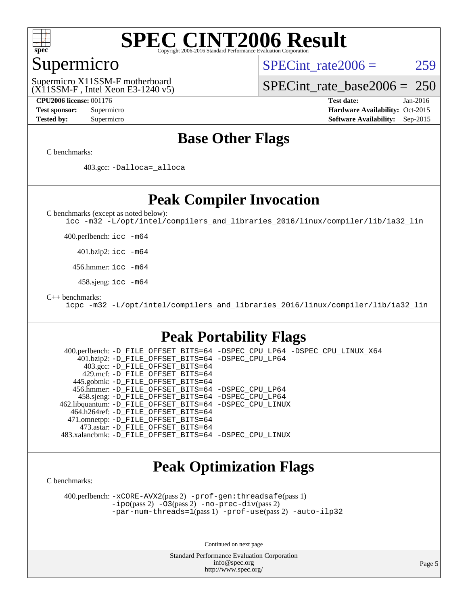

### Supermicro

SPECint rate $2006 = 259$ 

(X11SSM-F , Intel Xeon E3-1240 v5) Supermicro X11SSM-F motherboard

[SPECint\\_rate\\_base2006 =](http://www.spec.org/auto/cpu2006/Docs/result-fields.html#SPECintratebase2006) 250

**[CPU2006 license:](http://www.spec.org/auto/cpu2006/Docs/result-fields.html#CPU2006license)** 001176 **[Test date:](http://www.spec.org/auto/cpu2006/Docs/result-fields.html#Testdate)** Jan-2016 **[Test sponsor:](http://www.spec.org/auto/cpu2006/Docs/result-fields.html#Testsponsor)** Supermicro Supermicro **[Hardware Availability:](http://www.spec.org/auto/cpu2006/Docs/result-fields.html#HardwareAvailability)** Oct-2015 **[Tested by:](http://www.spec.org/auto/cpu2006/Docs/result-fields.html#Testedby)** Supermicro **Supermicro [Software Availability:](http://www.spec.org/auto/cpu2006/Docs/result-fields.html#SoftwareAvailability)** Sep-2015

### **[Base Other Flags](http://www.spec.org/auto/cpu2006/Docs/result-fields.html#BaseOtherFlags)**

[C benchmarks](http://www.spec.org/auto/cpu2006/Docs/result-fields.html#Cbenchmarks):

403.gcc: [-Dalloca=\\_alloca](http://www.spec.org/cpu2006/results/res2016q1/cpu2006-20160206-39000.flags.html#b403.gcc_baseEXTRA_CFLAGS_Dalloca_be3056838c12de2578596ca5467af7f3)

### **[Peak Compiler Invocation](http://www.spec.org/auto/cpu2006/Docs/result-fields.html#PeakCompilerInvocation)**

[C benchmarks \(except as noted below\)](http://www.spec.org/auto/cpu2006/Docs/result-fields.html#Cbenchmarksexceptasnotedbelow):

[icc -m32 -L/opt/intel/compilers\\_and\\_libraries\\_2016/linux/compiler/lib/ia32\\_lin](http://www.spec.org/cpu2006/results/res2016q1/cpu2006-20160206-39000.flags.html#user_CCpeak_intel_icc_e10256ba5924b668798078a321b0cb3f)

400.perlbench: [icc -m64](http://www.spec.org/cpu2006/results/res2016q1/cpu2006-20160206-39000.flags.html#user_peakCCLD400_perlbench_intel_icc_64bit_bda6cc9af1fdbb0edc3795bac97ada53)

401.bzip2: [icc -m64](http://www.spec.org/cpu2006/results/res2016q1/cpu2006-20160206-39000.flags.html#user_peakCCLD401_bzip2_intel_icc_64bit_bda6cc9af1fdbb0edc3795bac97ada53)

456.hmmer: [icc -m64](http://www.spec.org/cpu2006/results/res2016q1/cpu2006-20160206-39000.flags.html#user_peakCCLD456_hmmer_intel_icc_64bit_bda6cc9af1fdbb0edc3795bac97ada53)

458.sjeng: [icc -m64](http://www.spec.org/cpu2006/results/res2016q1/cpu2006-20160206-39000.flags.html#user_peakCCLD458_sjeng_intel_icc_64bit_bda6cc9af1fdbb0edc3795bac97ada53)

[C++ benchmarks:](http://www.spec.org/auto/cpu2006/Docs/result-fields.html#CXXbenchmarks)

[icpc -m32 -L/opt/intel/compilers\\_and\\_libraries\\_2016/linux/compiler/lib/ia32\\_lin](http://www.spec.org/cpu2006/results/res2016q1/cpu2006-20160206-39000.flags.html#user_CXXpeak_intel_icpc_b4f50a394bdb4597aa5879c16bc3f5c5)

### **[Peak Portability Flags](http://www.spec.org/auto/cpu2006/Docs/result-fields.html#PeakPortabilityFlags)**

 400.perlbench: [-D\\_FILE\\_OFFSET\\_BITS=64](http://www.spec.org/cpu2006/results/res2016q1/cpu2006-20160206-39000.flags.html#user_peakPORTABILITY400_perlbench_file_offset_bits_64_438cf9856305ebd76870a2c6dc2689ab) [-DSPEC\\_CPU\\_LP64](http://www.spec.org/cpu2006/results/res2016q1/cpu2006-20160206-39000.flags.html#b400.perlbench_peakCPORTABILITY_DSPEC_CPU_LP64) [-DSPEC\\_CPU\\_LINUX\\_X64](http://www.spec.org/cpu2006/results/res2016q1/cpu2006-20160206-39000.flags.html#b400.perlbench_peakCPORTABILITY_DSPEC_CPU_LINUX_X64) 401.bzip2: [-D\\_FILE\\_OFFSET\\_BITS=64](http://www.spec.org/cpu2006/results/res2016q1/cpu2006-20160206-39000.flags.html#user_peakPORTABILITY401_bzip2_file_offset_bits_64_438cf9856305ebd76870a2c6dc2689ab) [-DSPEC\\_CPU\\_LP64](http://www.spec.org/cpu2006/results/res2016q1/cpu2006-20160206-39000.flags.html#suite_peakCPORTABILITY401_bzip2_DSPEC_CPU_LP64) 403.gcc: [-D\\_FILE\\_OFFSET\\_BITS=64](http://www.spec.org/cpu2006/results/res2016q1/cpu2006-20160206-39000.flags.html#user_peakPORTABILITY403_gcc_file_offset_bits_64_438cf9856305ebd76870a2c6dc2689ab) 429.mcf: [-D\\_FILE\\_OFFSET\\_BITS=64](http://www.spec.org/cpu2006/results/res2016q1/cpu2006-20160206-39000.flags.html#user_peakPORTABILITY429_mcf_file_offset_bits_64_438cf9856305ebd76870a2c6dc2689ab) 445.gobmk: [-D\\_FILE\\_OFFSET\\_BITS=64](http://www.spec.org/cpu2006/results/res2016q1/cpu2006-20160206-39000.flags.html#user_peakPORTABILITY445_gobmk_file_offset_bits_64_438cf9856305ebd76870a2c6dc2689ab) 456.hmmer: [-D\\_FILE\\_OFFSET\\_BITS=64](http://www.spec.org/cpu2006/results/res2016q1/cpu2006-20160206-39000.flags.html#user_peakPORTABILITY456_hmmer_file_offset_bits_64_438cf9856305ebd76870a2c6dc2689ab) [-DSPEC\\_CPU\\_LP64](http://www.spec.org/cpu2006/results/res2016q1/cpu2006-20160206-39000.flags.html#suite_peakCPORTABILITY456_hmmer_DSPEC_CPU_LP64) 458.sjeng: [-D\\_FILE\\_OFFSET\\_BITS=64](http://www.spec.org/cpu2006/results/res2016q1/cpu2006-20160206-39000.flags.html#user_peakPORTABILITY458_sjeng_file_offset_bits_64_438cf9856305ebd76870a2c6dc2689ab) [-DSPEC\\_CPU\\_LP64](http://www.spec.org/cpu2006/results/res2016q1/cpu2006-20160206-39000.flags.html#suite_peakCPORTABILITY458_sjeng_DSPEC_CPU_LP64) 462.libquantum: [-D\\_FILE\\_OFFSET\\_BITS=64](http://www.spec.org/cpu2006/results/res2016q1/cpu2006-20160206-39000.flags.html#user_peakPORTABILITY462_libquantum_file_offset_bits_64_438cf9856305ebd76870a2c6dc2689ab) [-DSPEC\\_CPU\\_LINUX](http://www.spec.org/cpu2006/results/res2016q1/cpu2006-20160206-39000.flags.html#b462.libquantum_peakCPORTABILITY_DSPEC_CPU_LINUX) 464.h264ref: [-D\\_FILE\\_OFFSET\\_BITS=64](http://www.spec.org/cpu2006/results/res2016q1/cpu2006-20160206-39000.flags.html#user_peakPORTABILITY464_h264ref_file_offset_bits_64_438cf9856305ebd76870a2c6dc2689ab) 471.omnetpp: [-D\\_FILE\\_OFFSET\\_BITS=64](http://www.spec.org/cpu2006/results/res2016q1/cpu2006-20160206-39000.flags.html#user_peakPORTABILITY471_omnetpp_file_offset_bits_64_438cf9856305ebd76870a2c6dc2689ab) 473.astar: [-D\\_FILE\\_OFFSET\\_BITS=64](http://www.spec.org/cpu2006/results/res2016q1/cpu2006-20160206-39000.flags.html#user_peakPORTABILITY473_astar_file_offset_bits_64_438cf9856305ebd76870a2c6dc2689ab) 483.xalancbmk: [-D\\_FILE\\_OFFSET\\_BITS=64](http://www.spec.org/cpu2006/results/res2016q1/cpu2006-20160206-39000.flags.html#user_peakPORTABILITY483_xalancbmk_file_offset_bits_64_438cf9856305ebd76870a2c6dc2689ab) [-DSPEC\\_CPU\\_LINUX](http://www.spec.org/cpu2006/results/res2016q1/cpu2006-20160206-39000.flags.html#b483.xalancbmk_peakCXXPORTABILITY_DSPEC_CPU_LINUX)

### **[Peak Optimization Flags](http://www.spec.org/auto/cpu2006/Docs/result-fields.html#PeakOptimizationFlags)**

[C benchmarks](http://www.spec.org/auto/cpu2006/Docs/result-fields.html#Cbenchmarks):

 400.perlbench: [-xCORE-AVX2](http://www.spec.org/cpu2006/results/res2016q1/cpu2006-20160206-39000.flags.html#user_peakPASS2_CFLAGSPASS2_LDCFLAGS400_perlbench_f-xAVX2_5f5fc0cbe2c9f62c816d3e45806c70d7)(pass 2) [-prof-gen:threadsafe](http://www.spec.org/cpu2006/results/res2016q1/cpu2006-20160206-39000.flags.html#user_peakPASS1_CFLAGSPASS1_LDCFLAGS400_perlbench_prof_gen_21a26eb79f378b550acd7bec9fe4467a)(pass 1) [-ipo](http://www.spec.org/cpu2006/results/res2016q1/cpu2006-20160206-39000.flags.html#user_peakPASS2_CFLAGSPASS2_LDCFLAGS400_perlbench_f-ipo)(pass 2) [-O3](http://www.spec.org/cpu2006/results/res2016q1/cpu2006-20160206-39000.flags.html#user_peakPASS2_CFLAGSPASS2_LDCFLAGS400_perlbench_f-O3)(pass 2) [-no-prec-div](http://www.spec.org/cpu2006/results/res2016q1/cpu2006-20160206-39000.flags.html#user_peakPASS2_CFLAGSPASS2_LDCFLAGS400_perlbench_f-no-prec-div)(pass 2) [-par-num-threads=1](http://www.spec.org/cpu2006/results/res2016q1/cpu2006-20160206-39000.flags.html#user_peakPASS1_CFLAGSPASS1_LDCFLAGS400_perlbench_par_num_threads_786a6ff141b4e9e90432e998842df6c2)(pass 1) [-prof-use](http://www.spec.org/cpu2006/results/res2016q1/cpu2006-20160206-39000.flags.html#user_peakPASS2_CFLAGSPASS2_LDCFLAGS400_perlbench_prof_use_bccf7792157ff70d64e32fe3e1250b55)(pass 2) [-auto-ilp32](http://www.spec.org/cpu2006/results/res2016q1/cpu2006-20160206-39000.flags.html#user_peakCOPTIMIZE400_perlbench_f-auto-ilp32)

Continued on next page

Standard Performance Evaluation Corporation [info@spec.org](mailto:info@spec.org) <http://www.spec.org/>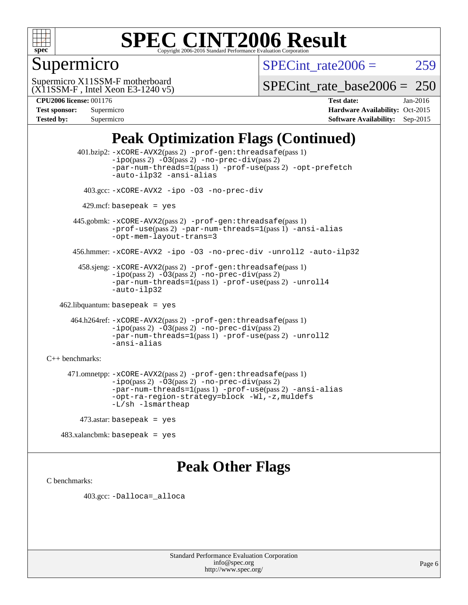

### Supermicro

SPECint rate $2006 = 259$ 

(X11SSM-F , Intel Xeon E3-1240 v5) Supermicro X11SSM-F motherboard

[SPECint\\_rate\\_base2006 =](http://www.spec.org/auto/cpu2006/Docs/result-fields.html#SPECintratebase2006) 250

| <b>Test sponsor:</b> | Supermicro |
|----------------------|------------|
| <b>Tested by:</b>    | Supermicro |

**[CPU2006 license:](http://www.spec.org/auto/cpu2006/Docs/result-fields.html#CPU2006license)** 001176 **[Test date:](http://www.spec.org/auto/cpu2006/Docs/result-fields.html#Testdate)** Jan-2016 **[Hardware Availability:](http://www.spec.org/auto/cpu2006/Docs/result-fields.html#HardwareAvailability)** Oct-2015 **[Software Availability:](http://www.spec.org/auto/cpu2006/Docs/result-fields.html#SoftwareAvailability)** Sep-2015

### **[Peak Optimization Flags \(Continued\)](http://www.spec.org/auto/cpu2006/Docs/result-fields.html#PeakOptimizationFlags)**

 401.bzip2: [-xCORE-AVX2](http://www.spec.org/cpu2006/results/res2016q1/cpu2006-20160206-39000.flags.html#user_peakPASS2_CFLAGSPASS2_LDCFLAGS401_bzip2_f-xAVX2_5f5fc0cbe2c9f62c816d3e45806c70d7)(pass 2) [-prof-gen:threadsafe](http://www.spec.org/cpu2006/results/res2016q1/cpu2006-20160206-39000.flags.html#user_peakPASS1_CFLAGSPASS1_LDCFLAGS401_bzip2_prof_gen_21a26eb79f378b550acd7bec9fe4467a)(pass 1)  $-i\text{po}(pass 2) -\text{O3}(pass 2)$  [-no-prec-div](http://www.spec.org/cpu2006/results/res2016q1/cpu2006-20160206-39000.flags.html#user_peakPASS2_CFLAGSPASS2_LDCFLAGS401_bzip2_f-no-prec-div)(pass 2) [-par-num-threads=1](http://www.spec.org/cpu2006/results/res2016q1/cpu2006-20160206-39000.flags.html#user_peakPASS1_CFLAGSPASS1_LDCFLAGS401_bzip2_par_num_threads_786a6ff141b4e9e90432e998842df6c2)(pass 1) [-prof-use](http://www.spec.org/cpu2006/results/res2016q1/cpu2006-20160206-39000.flags.html#user_peakPASS2_CFLAGSPASS2_LDCFLAGS401_bzip2_prof_use_bccf7792157ff70d64e32fe3e1250b55)(pass 2) [-opt-prefetch](http://www.spec.org/cpu2006/results/res2016q1/cpu2006-20160206-39000.flags.html#user_peakCOPTIMIZE401_bzip2_f-opt-prefetch) [-auto-ilp32](http://www.spec.org/cpu2006/results/res2016q1/cpu2006-20160206-39000.flags.html#user_peakCOPTIMIZE401_bzip2_f-auto-ilp32) [-ansi-alias](http://www.spec.org/cpu2006/results/res2016q1/cpu2006-20160206-39000.flags.html#user_peakCOPTIMIZE401_bzip2_f-ansi-alias) 403.gcc: [-xCORE-AVX2](http://www.spec.org/cpu2006/results/res2016q1/cpu2006-20160206-39000.flags.html#user_peakCOPTIMIZE403_gcc_f-xAVX2_5f5fc0cbe2c9f62c816d3e45806c70d7) [-ipo](http://www.spec.org/cpu2006/results/res2016q1/cpu2006-20160206-39000.flags.html#user_peakCOPTIMIZE403_gcc_f-ipo) [-O3](http://www.spec.org/cpu2006/results/res2016q1/cpu2006-20160206-39000.flags.html#user_peakCOPTIMIZE403_gcc_f-O3) [-no-prec-div](http://www.spec.org/cpu2006/results/res2016q1/cpu2006-20160206-39000.flags.html#user_peakCOPTIMIZE403_gcc_f-no-prec-div)  $429$ .mcf: basepeak = yes 445.gobmk: [-xCORE-AVX2](http://www.spec.org/cpu2006/results/res2016q1/cpu2006-20160206-39000.flags.html#user_peakPASS2_CFLAGSPASS2_LDCFLAGS445_gobmk_f-xAVX2_5f5fc0cbe2c9f62c816d3e45806c70d7)(pass 2) [-prof-gen:threadsafe](http://www.spec.org/cpu2006/results/res2016q1/cpu2006-20160206-39000.flags.html#user_peakPASS1_CFLAGSPASS1_LDCFLAGS445_gobmk_prof_gen_21a26eb79f378b550acd7bec9fe4467a)(pass 1) [-prof-use](http://www.spec.org/cpu2006/results/res2016q1/cpu2006-20160206-39000.flags.html#user_peakPASS2_CFLAGSPASS2_LDCFLAGS445_gobmk_prof_use_bccf7792157ff70d64e32fe3e1250b55)(pass 2) [-par-num-threads=1](http://www.spec.org/cpu2006/results/res2016q1/cpu2006-20160206-39000.flags.html#user_peakPASS1_CFLAGSPASS1_LDCFLAGS445_gobmk_par_num_threads_786a6ff141b4e9e90432e998842df6c2)(pass 1) [-ansi-alias](http://www.spec.org/cpu2006/results/res2016q1/cpu2006-20160206-39000.flags.html#user_peakCOPTIMIZE445_gobmk_f-ansi-alias) [-opt-mem-layout-trans=3](http://www.spec.org/cpu2006/results/res2016q1/cpu2006-20160206-39000.flags.html#user_peakCOPTIMIZE445_gobmk_f-opt-mem-layout-trans_a7b82ad4bd7abf52556d4961a2ae94d5) 456.hmmer: [-xCORE-AVX2](http://www.spec.org/cpu2006/results/res2016q1/cpu2006-20160206-39000.flags.html#user_peakCOPTIMIZE456_hmmer_f-xAVX2_5f5fc0cbe2c9f62c816d3e45806c70d7) [-ipo](http://www.spec.org/cpu2006/results/res2016q1/cpu2006-20160206-39000.flags.html#user_peakCOPTIMIZE456_hmmer_f-ipo) [-O3](http://www.spec.org/cpu2006/results/res2016q1/cpu2006-20160206-39000.flags.html#user_peakCOPTIMIZE456_hmmer_f-O3) [-no-prec-div](http://www.spec.org/cpu2006/results/res2016q1/cpu2006-20160206-39000.flags.html#user_peakCOPTIMIZE456_hmmer_f-no-prec-div) [-unroll2](http://www.spec.org/cpu2006/results/res2016q1/cpu2006-20160206-39000.flags.html#user_peakCOPTIMIZE456_hmmer_f-unroll_784dae83bebfb236979b41d2422d7ec2) [-auto-ilp32](http://www.spec.org/cpu2006/results/res2016q1/cpu2006-20160206-39000.flags.html#user_peakCOPTIMIZE456_hmmer_f-auto-ilp32) 458.sjeng: [-xCORE-AVX2](http://www.spec.org/cpu2006/results/res2016q1/cpu2006-20160206-39000.flags.html#user_peakPASS2_CFLAGSPASS2_LDCFLAGS458_sjeng_f-xAVX2_5f5fc0cbe2c9f62c816d3e45806c70d7)(pass 2) [-prof-gen:threadsafe](http://www.spec.org/cpu2006/results/res2016q1/cpu2006-20160206-39000.flags.html#user_peakPASS1_CFLAGSPASS1_LDCFLAGS458_sjeng_prof_gen_21a26eb79f378b550acd7bec9fe4467a)(pass 1)  $-i\text{po}(pass 2) -\overline{O}3(pass 2)$  [-no-prec-div](http://www.spec.org/cpu2006/results/res2016q1/cpu2006-20160206-39000.flags.html#user_peakPASS2_CFLAGSPASS2_LDCFLAGS458_sjeng_f-no-prec-div)(pass 2) [-par-num-threads=1](http://www.spec.org/cpu2006/results/res2016q1/cpu2006-20160206-39000.flags.html#user_peakPASS1_CFLAGSPASS1_LDCFLAGS458_sjeng_par_num_threads_786a6ff141b4e9e90432e998842df6c2)(pass 1) [-prof-use](http://www.spec.org/cpu2006/results/res2016q1/cpu2006-20160206-39000.flags.html#user_peakPASS2_CFLAGSPASS2_LDCFLAGS458_sjeng_prof_use_bccf7792157ff70d64e32fe3e1250b55)(pass 2) [-unroll4](http://www.spec.org/cpu2006/results/res2016q1/cpu2006-20160206-39000.flags.html#user_peakCOPTIMIZE458_sjeng_f-unroll_4e5e4ed65b7fd20bdcd365bec371b81f) [-auto-ilp32](http://www.spec.org/cpu2006/results/res2016q1/cpu2006-20160206-39000.flags.html#user_peakCOPTIMIZE458_sjeng_f-auto-ilp32) 462.libquantum: basepeak = yes 464.h264ref: [-xCORE-AVX2](http://www.spec.org/cpu2006/results/res2016q1/cpu2006-20160206-39000.flags.html#user_peakPASS2_CFLAGSPASS2_LDCFLAGS464_h264ref_f-xAVX2_5f5fc0cbe2c9f62c816d3e45806c70d7)(pass 2) [-prof-gen:threadsafe](http://www.spec.org/cpu2006/results/res2016q1/cpu2006-20160206-39000.flags.html#user_peakPASS1_CFLAGSPASS1_LDCFLAGS464_h264ref_prof_gen_21a26eb79f378b550acd7bec9fe4467a)(pass 1) [-ipo](http://www.spec.org/cpu2006/results/res2016q1/cpu2006-20160206-39000.flags.html#user_peakPASS2_CFLAGSPASS2_LDCFLAGS464_h264ref_f-ipo)(pass 2) [-O3](http://www.spec.org/cpu2006/results/res2016q1/cpu2006-20160206-39000.flags.html#user_peakPASS2_CFLAGSPASS2_LDCFLAGS464_h264ref_f-O3)(pass 2) [-no-prec-div](http://www.spec.org/cpu2006/results/res2016q1/cpu2006-20160206-39000.flags.html#user_peakPASS2_CFLAGSPASS2_LDCFLAGS464_h264ref_f-no-prec-div)(pass 2) [-par-num-threads=1](http://www.spec.org/cpu2006/results/res2016q1/cpu2006-20160206-39000.flags.html#user_peakPASS1_CFLAGSPASS1_LDCFLAGS464_h264ref_par_num_threads_786a6ff141b4e9e90432e998842df6c2)(pass 1) [-prof-use](http://www.spec.org/cpu2006/results/res2016q1/cpu2006-20160206-39000.flags.html#user_peakPASS2_CFLAGSPASS2_LDCFLAGS464_h264ref_prof_use_bccf7792157ff70d64e32fe3e1250b55)(pass 2) [-unroll2](http://www.spec.org/cpu2006/results/res2016q1/cpu2006-20160206-39000.flags.html#user_peakCOPTIMIZE464_h264ref_f-unroll_784dae83bebfb236979b41d2422d7ec2) [-ansi-alias](http://www.spec.org/cpu2006/results/res2016q1/cpu2006-20160206-39000.flags.html#user_peakCOPTIMIZE464_h264ref_f-ansi-alias) [C++ benchmarks:](http://www.spec.org/auto/cpu2006/Docs/result-fields.html#CXXbenchmarks) 471.omnetpp: [-xCORE-AVX2](http://www.spec.org/cpu2006/results/res2016q1/cpu2006-20160206-39000.flags.html#user_peakPASS2_CXXFLAGSPASS2_LDCXXFLAGS471_omnetpp_f-xAVX2_5f5fc0cbe2c9f62c816d3e45806c70d7)(pass 2) [-prof-gen:threadsafe](http://www.spec.org/cpu2006/results/res2016q1/cpu2006-20160206-39000.flags.html#user_peakPASS1_CXXFLAGSPASS1_LDCXXFLAGS471_omnetpp_prof_gen_21a26eb79f378b550acd7bec9fe4467a)(pass 1)  $-ipo(pass 2) -\overline{03(pass 2)}$  $-ipo(pass 2) -\overline{03(pass 2)}$  [-no-prec-div](http://www.spec.org/cpu2006/results/res2016q1/cpu2006-20160206-39000.flags.html#user_peakPASS2_CXXFLAGSPASS2_LDCXXFLAGS471_omnetpp_f-no-prec-div)(pass 2) [-par-num-threads=1](http://www.spec.org/cpu2006/results/res2016q1/cpu2006-20160206-39000.flags.html#user_peakPASS1_CXXFLAGSPASS1_LDCXXFLAGS471_omnetpp_par_num_threads_786a6ff141b4e9e90432e998842df6c2)(pass 1) [-prof-use](http://www.spec.org/cpu2006/results/res2016q1/cpu2006-20160206-39000.flags.html#user_peakPASS2_CXXFLAGSPASS2_LDCXXFLAGS471_omnetpp_prof_use_bccf7792157ff70d64e32fe3e1250b55)(pass 2) [-ansi-alias](http://www.spec.org/cpu2006/results/res2016q1/cpu2006-20160206-39000.flags.html#user_peakCXXOPTIMIZE471_omnetpp_f-ansi-alias) [-opt-ra-region-strategy=block](http://www.spec.org/cpu2006/results/res2016q1/cpu2006-20160206-39000.flags.html#user_peakCXXOPTIMIZE471_omnetpp_f-opt-ra-region-strategy_a0a37c372d03933b2a18d4af463c1f69) [-Wl,-z,muldefs](http://www.spec.org/cpu2006/results/res2016q1/cpu2006-20160206-39000.flags.html#user_peakEXTRA_LDFLAGS471_omnetpp_link_force_multiple1_74079c344b956b9658436fd1b6dd3a8a) [-L/sh -lsmartheap](http://www.spec.org/cpu2006/results/res2016q1/cpu2006-20160206-39000.flags.html#user_peakEXTRA_LIBS471_omnetpp_SmartHeap_32f6c82aa1ed9c52345d30cf6e4a0499) 473.astar: basepeak = yes

483.xalancbmk: basepeak = yes

### **[Peak Other Flags](http://www.spec.org/auto/cpu2006/Docs/result-fields.html#PeakOtherFlags)**

[C benchmarks](http://www.spec.org/auto/cpu2006/Docs/result-fields.html#Cbenchmarks):

403.gcc: [-Dalloca=\\_alloca](http://www.spec.org/cpu2006/results/res2016q1/cpu2006-20160206-39000.flags.html#b403.gcc_peakEXTRA_CFLAGS_Dalloca_be3056838c12de2578596ca5467af7f3)